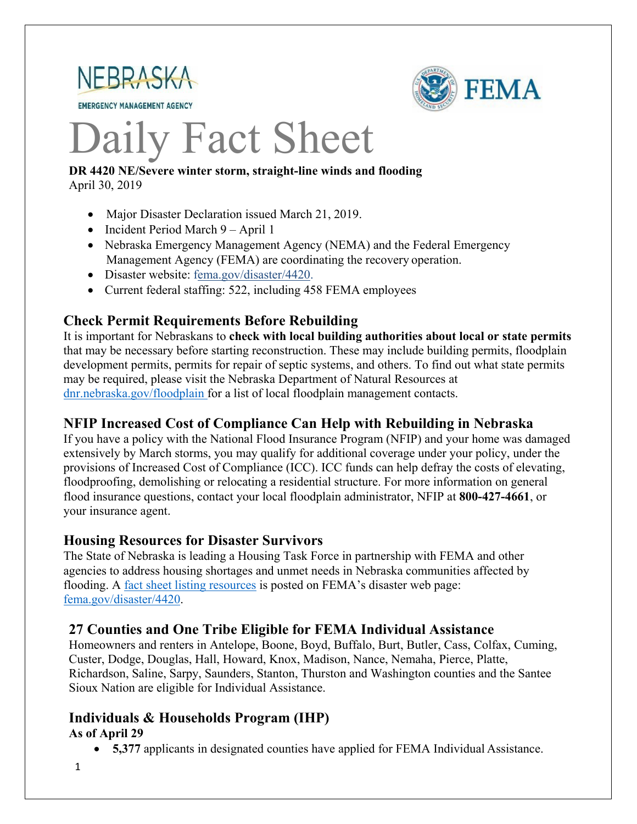

**EMERGENCY MANAGEMENT AGENCY** 



# Daily Fact Sheet

#### **DR 4420 NE/Severe winter storm, straight-line winds and flooding** April 30, 2019

- Major Disaster Declaration issued March 21, 2019.
- Incident Period March 9 April 1
- Nebraska Emergency Management Agency (NEMA) and the Federal Emergency Management Agency (FEMA) are coordinating the recovery operation.
- Disaster website: [fema.gov/disaster/4420.](https://www.fema.gov/disaster/4420)
- Current federal staffing: 522, including 458 FEMA employees

# **Check Permit Requirements Before Rebuilding**

It is important for Nebraskans to **check with local building authorities about local or state permits** that may be necessary before starting reconstruction. These may include building permits, floodplain development permits, permits for repair of septic systems, and others. To find out what state permits may be required, please visit the Nebraska Department of Natural Resources at [dnr.nebraska.gov/floodplain](https://dnr.nebraska.gov/floodplain) for a list of local floodplain management contacts.

# **NFIP Increased Cost of Compliance Can Help with Rebuilding in Nebraska**

If you have a policy with the National Flood Insurance Program (NFIP) and your home was damaged extensively by March storms, you may qualify for additional coverage under your policy, under the provisions of Increased Cost of Compliance (ICC). ICC funds can help defray the costs of elevating, floodproofing, demolishing or relocating a residential structure. For more information on general flood insurance questions, contact your local floodplain administrator, NFIP at **800-427-4661**, or your insurance agent.

## **Housing Resources for Disaster Survivors**

The State of Nebraska is leading a Housing Task Force in partnership with FEMA and other agencies to address housing shortages and unmet needs in Nebraska communities affected by flooding. A [fact sheet listing resources](https://edit.fema.gov/news-release/2019/04/19/fact-sheet-housing-resources-residents-nebraska-affected-march-storms-0) is posted on FEMA's disaster web page: [fema.gov/disaster/4420.](http://www.fema.gov/disaster/4420)

## **27 Counties and One Tribe Eligible for FEMA Individual Assistance**

Homeowners and renters in Antelope, Boone, Boyd, Buffalo, Burt, Butler, Cass, Colfax, Cuming, Custer, Dodge, Douglas, Hall, Howard, Knox, Madison, Nance, Nemaha, Pierce, Platte, Richardson, Saline, Sarpy, Saunders, Stanton, Thurston and Washington counties and the Santee Sioux Nation are eligible for Individual Assistance.

# **Individuals & Households Program (IHP)**

## **As of April 29**

- **5,377** applicants in designated counties have applied for FEMA Individual Assistance.
- 1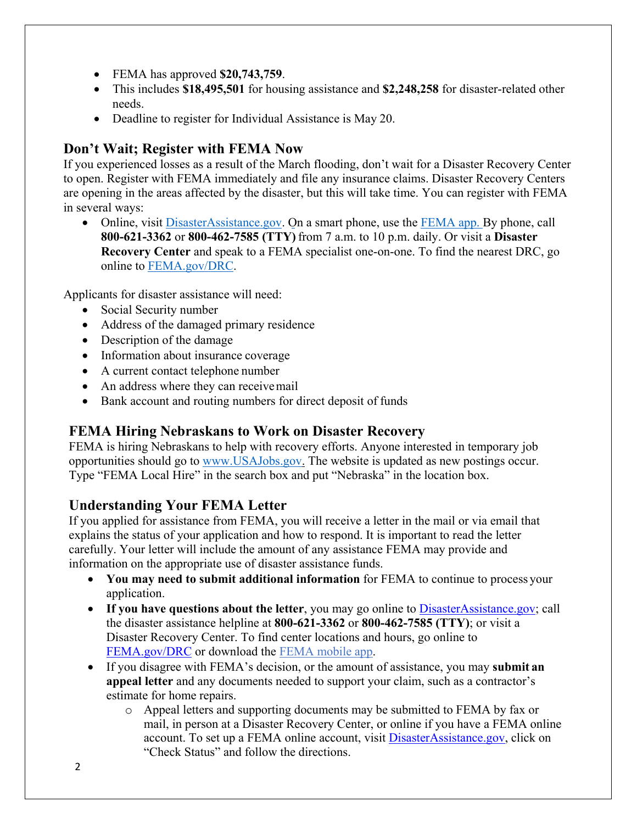- FEMA has approved **\$20,743,759**.
- This includes **\$18,495,501** for housing assistance and **\$2,248,258** for disaster-related other needs.
- Deadline to register for Individual Assistance is May 20.

# **Don't Wait; Register with FEMA Now**

If you experienced losses as a result of the March flooding, don't wait for a Disaster Recovery Center to open. Register with FEMA immediately and file any insurance claims. Disaster Recovery Centers are opening in the areas affected by the disaster, but this will take time. You can register with FEMA in several ways:

• Online, visit [DisasterAssistance.gov.](https://disasterassistance.gov/) On a smart phone, use the [FEMA app.](https://www.fema.gov/mobile-app) By phone, call **800-621-3362** or **800-462-7585 (TTY)** from 7 a.m. to 10 p.m. daily. Or visit a **Disaster Recovery Center** and speak to a FEMA specialist one-on-one. To find the nearest DRC, go online to [FEMA.gov/DRC.](http://www.fema.gov/DRC)

Applicants for disaster assistance will need:

- Social Security number
- Address of the damaged primary residence
- Description of the damage
- Information about insurance coverage
- A current contact telephone number
- An address where they can receive mail
- Bank account and routing numbers for direct deposit of funds

# **FEMA Hiring Nebraskans to Work on Disaster Recovery**

FEMA is hiring Nebraskans to help with recovery efforts. Anyone interested in temporary job opportunities should go to [www.USAJobs.gov.](http://www.usajobs.gov/) The website is updated as new postings occur. Type "FEMA Local Hire" in the search box and put "Nebraska" in the location box.

# **Understanding Your FEMA Letter**

If you applied for assistance from FEMA, you will receive a letter in the mail or via email that explains the status of your application and how to respond. It is important to read the letter carefully. Your letter will include the amount of any assistance FEMA may provide and information on the appropriate use of disaster assistance funds.

- **You may need to submit additional information** for FEMA to continue to process your application.
- If you have questions about the letter, you may go online to [DisasterAssistance.gov;](http://www.disasterassistance.gov/) call the disaster assistance helpline at **800-621-3362** or **800-462-7585 (TTY)**; or visit a Disaster Recovery Center. To find center locations and hours, go online t[o](https://www.fema.gov/disaster-recovery-centers) [FEMA.gov/DRC](https://www.fema.gov/disaster-recovery-centers) or download the [FEMA mobile](https://www.fema.gov/mobile-app) app.
- If you disagree with FEMA's decision, or the amount of assistance, you may **submit an appeal letter** and any documents needed to support your claim, such as a contractor's estimate for home repairs.
	- o Appeal letters and supporting documents may be submitted to FEMA by fax or mail, in person at a Disaster Recovery Center, or online if you have a FEMA online account. To set up a FEMA online account, visit **DisasterAssistance.gov**, click on "Check Status" and follow the directions.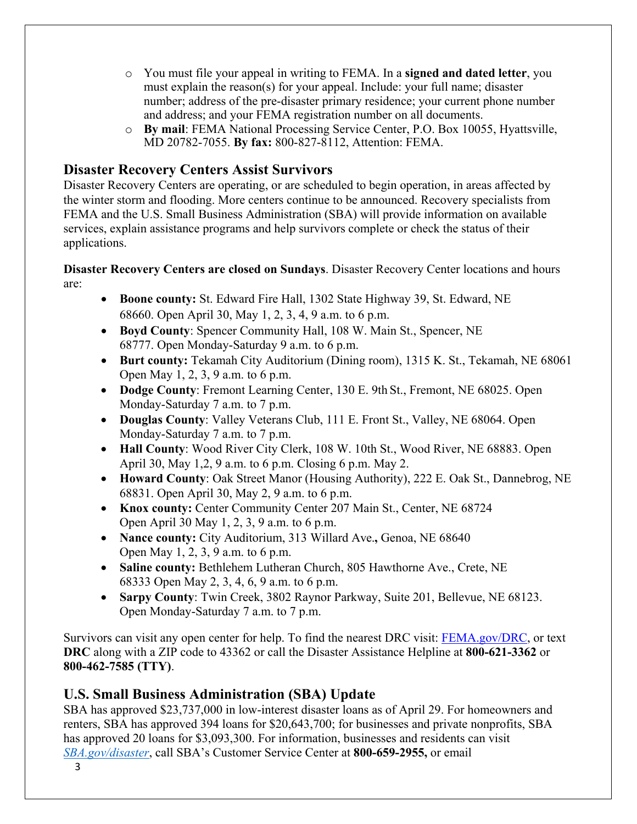- o You must file your appeal in writing to FEMA. In a **signed and dated letter**, you must explain the reason(s) for your appeal. Include: your full name; disaster number; address of the pre-disaster primary residence; your current phone number and address; and your FEMA registration number on all documents.
- o **By mail**: FEMA National Processing Service Center, P.O. Box 10055, Hyattsville, MD 20782-7055. **By fax:** 800-827-8112, Attention: FEMA.

## **Disaster Recovery Centers Assist Survivors**

Disaster Recovery Centers are operating, or are scheduled to begin operation, in areas affected by the winter storm and flooding. More centers continue to be announced. Recovery specialists from FEMA and the U.S. Small Business Administration (SBA) will provide information on available services, explain assistance programs and help survivors complete or check the status of their applications.

## **Disaster Recovery Centers are closed on Sundays**. Disaster Recovery Center locations and hours are:

- **Boone county:** St. Edward Fire Hall, 1302 State Highway 39, St. Edward, NE 68660. Open April 30, May 1, 2, 3, 4, 9 a.m. to 6 p.m.
- **Boyd County**: Spencer Community Hall, 108 W. Main St., Spencer, NE 68777. Open Monday-Saturday 9 a.m. to 6 p.m.
- **Burt county:** Tekamah City Auditorium (Dining room), 1315 K. St., Tekamah, NE 68061 Open May 1, 2, 3, 9 a.m. to 6 p.m.
- **Dodge County**: Fremont Learning Center, 130 E. 9th St., Fremont, NE 68025. Open Monday-Saturday 7 a.m. to 7 p.m.
- **Douglas County**: Valley Veterans Club, 111 E. Front St., Valley, NE 68064. Open Monday-Saturday 7 a.m. to 7 p.m.
- **Hall County**: Wood River City Clerk, 108 W. 10th St., Wood River, NE 68883. Open April 30, May 1,2, 9 a.m. to 6 p.m. Closing 6 p.m. May 2.
- **Howard County**: Oak Street Manor (Housing Authority), 222 E. Oak St., Dannebrog, NE 68831. Open April 30, May 2, 9 a.m. to 6 p.m.
- **Knox county:** Center Community Center 207 Main St., Center, NE 68724 Open April 30 May 1, 2, 3, 9 a.m. to 6 p.m.
- **Nance county:** City Auditorium, 313 Willard Ave., Genoa, NE 68640 Open May 1, 2, 3, 9 a.m. to 6 p.m.
- **Saline county:** Bethlehem Lutheran Church, 805 Hawthorne Ave., Crete, NE 68333 Open May 2, 3, 4, 6, 9 a.m. to 6 p.m.
- **Sarpy County**: Twin Creek, 3802 Raynor Parkway, Suite 201, Bellevue, NE 68123. Open Monday-Saturday 7 a.m. to 7 p.m.

Survivors can visit any open center for help. To find the nearest DRC visit: [FEMA.gov/DRC,](http://www.fema.gov/DRC) or text **DRC** along with a ZIP code to 43362 or call the Disaster Assistance Helpline at **800-621-3362** or **800-462-7585 (TTY)**.

# **U.S. Small Business Administration (SBA) Update**

SBA has approved \$23,737,000 in low-interest disaster loans as of April 29. For homeowners and renters, SBA has approved 394 loans for \$20,643,700; for businesses and private nonprofits, SBA has approved 20 loans for \$3,093,300. For information, businesses and residents can visit

*[SBA.gov/disaster](http://www.sba.gov/disaster)*, call SBA's Customer Service Center at **800-659-2955,** or email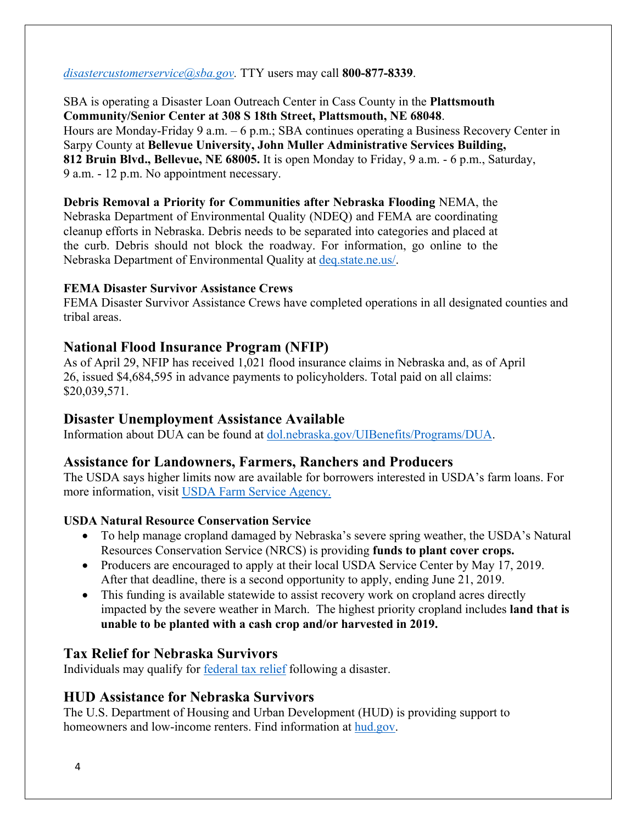#### *[disastercustomerservice@sba.gov.](mailto:disastercustomerservice@sba.gov)* TTY users may call **800-877-8339**.

SBA is operating a Disaster Loan Outreach Center in Cass County in the **Plattsmouth Community/Senior Center at 308 S 18th Street, Plattsmouth, NE 68048**. Hours are Monday-Friday 9 a.m. – 6 p.m.; SBA continues operating a Business Recovery Center in Sarpy County at **Bellevue University, John Muller Administrative Services Building, 812 Bruin Blvd., Bellevue, NE 68005.** It is open Monday to Friday, 9 a.m. - 6 p.m., Saturday, 9 a.m. - 12 p.m. No appointment necessary.

**Debris Removal a Priority for Communities after Nebraska Flooding** NEMA, the Nebraska Department of Environmental Quality (NDEQ) and FEMA are coordinating cleanup efforts in Nebraska. Debris needs to be separated into categories and placed at the curb. Debris should not block the roadway. For information, go online to the Nebraska Department of Environmental Quality at [deq.state.ne.us/.](http://www.deq.state.ne.us/)

#### **FEMA Disaster Survivor Assistance Crews**

FEMA Disaster Survivor Assistance Crews have completed operations in all designated counties and tribal areas.

## **National Flood Insurance Program (NFIP)**

As of April 29, NFIP has received 1,021 flood insurance claims in Nebraska and, as of April 26, issued \$4,684,595 in advance payments to policyholders. Total paid on all claims: \$20,039,571.

## **Disaster Unemployment Assistance Available**

Information about DUA can be found at [dol.nebraska.gov/UIBenefits/Programs/DUA.](https://dol.nebraska.gov/UIBenefits/Programs/DUA)

#### **Assistance for Landowners, Farmers, Ranchers and Producers**

The USDA says higher limits now are available for borrowers interested in USDA's farm loans. For more information, visit [USDA Farm Service Agency.](https://www.fsa.usda.gov/)

#### **USDA Natural Resource Conservation Service**

- To help manage cropland damaged by Nebraska's severe spring weather, the USDA's Natural Resources Conservation Service (NRCS) is providing **funds to plant cover crops.**
- Producers are encouraged to apply at their local USDA Service Center by May 17, 2019. After that deadline, there is a second opportunity to apply, ending June 21, 2019.
- This funding is available statewide to assist recovery work on cropland acres directly impacted by the severe weather in March. The highest priority cropland includes **land that is unable to be planted with a cash crop and/or harvested in 2019.**

## **Tax Relief for Nebraska Survivors**

Individuals may qualify for federal tax relief [following a disaster.](https://www.irs.gov/newsroom/irs-announces-tax-relief-for-nebraska-victims-of-severe-winter-storm-straight-line-winds-and-flooding)

## **HUD Assistance for Nebraska Survivors**

The U.S. Department of Housing and Urban Development (HUD) is providing support to homeowners and low-income renters. Find information at [hud.gov.](https://www.hud.gov/)